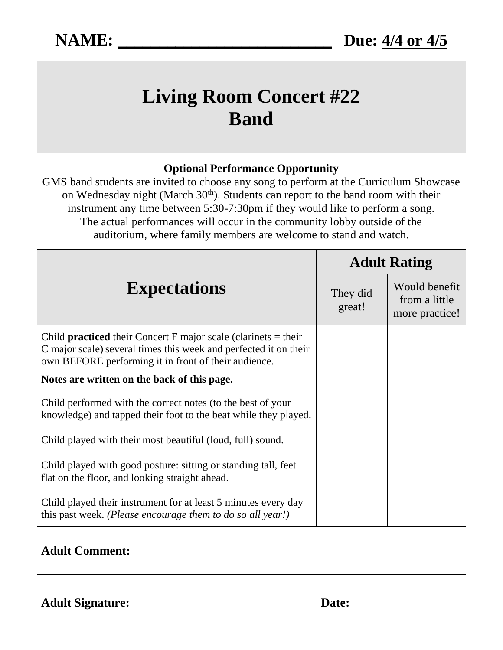## **Living Room Concert #22 Band**

## **Optional Performance Opportunity**

GMS band students are invited to choose any song to perform at the Curriculum Showcase on Wednesday night (March 30<sup>th</sup>). Students can report to the band room with their instrument any time between 5:30-7:30pm if they would like to perform a song. The actual performances will occur in the community lobby outside of the auditorium, where family members are welcome to stand and watch.

| <b>Expectations</b>                                                                                                                                                                                 | <b>Adult Rating</b> |                                                  |
|-----------------------------------------------------------------------------------------------------------------------------------------------------------------------------------------------------|---------------------|--------------------------------------------------|
|                                                                                                                                                                                                     | They did<br>great!  | Would benefit<br>from a little<br>more practice! |
| Child <b>practiced</b> their Concert F major scale (clarinets $=$ their<br>C major scale) several times this week and perfected it on their<br>own BEFORE performing it in front of their audience. |                     |                                                  |
| Notes are written on the back of this page.                                                                                                                                                         |                     |                                                  |
| Child performed with the correct notes (to the best of your<br>knowledge) and tapped their foot to the beat while they played.                                                                      |                     |                                                  |
| Child played with their most beautiful (loud, full) sound.                                                                                                                                          |                     |                                                  |
| Child played with good posture: sitting or standing tall, feet<br>flat on the floor, and looking straight ahead.                                                                                    |                     |                                                  |
| Child played their instrument for at least 5 minutes every day<br>this past week. (Please encourage them to do so all year!)                                                                        |                     |                                                  |
| <b>Adult Comment:</b>                                                                                                                                                                               |                     |                                                  |
| <b>Adult Signature:</b>                                                                                                                                                                             | Date:               |                                                  |